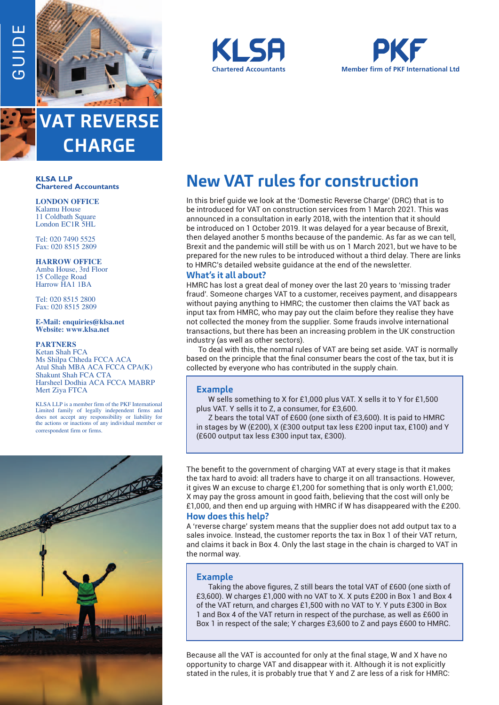$\sqcup$ 



**VAT REVERSE CHARGE**

#### **KLSA LLP Chartered Accountants**

**LONDON OFFICE** Kalamu House 11 Coldbath Square London EC1R 5HL

Tel: 020 7490 5525 Fax: 020 8515 2809

**HARROW OFFICE**

Amba House, 3rd Floor 15 College Road Harrow HA1 1BA

Tel: 020 8515 2800 Fax: 020 8515 2809

**E-Mail: enquiries@klsa.net Website: www.klsa.net**

#### **PARTNERS**

Ketan Shah FCA Ms Shilpa Chheda FCCA ACA Atul Shah MBA ACA FCCA CPA(K) Shakunt Shah FCA CTA Harsheel Dodhia ACA FCCA MABRP Mert Ziya FTCA

KLSA LLP is a member firm of the PKF International Limited family of legally independent firms and does not accept any responsibility or liability for the actions or inactions of any individual member or correspondent firm or firms.







# **New VAT rules for construction**

In this brief guide we look at the 'Domestic Reverse Charge' (DRC) that is to be introduced for VAT on construction services from 1 March 2021. This was announced in a consultation in early 2018, with the intention that it should be introduced on 1 October 2019. It was delayed for a year because of Brexit, then delayed another 5 months because of the pandemic. As far as we can tell, Brexit and the pandemic will still be with us on 1 March 2021, but we have to be prepared for the new rules to be introduced without a third delay. There are links to HMRC's detailed website guidance at the end of the newsletter.

# **What's it all about?**

HMRC has lost a great deal of money over the last 20 years to 'missing trader fraud'. Someone charges VAT to a customer, receives payment, and disappears without paying anything to HMRC; the customer then claims the VAT back as input tax from HMRC, who may pay out the claim before they realise they have not collected the money from the supplier. Some frauds involve international transactions, but there has been an increasing problem in the UK construction industry (as well as other sectors).

To deal with this, the normal rules of VAT are being set aside. VAT is normally based on the principle that the final consumer bears the cost of the tax, but it is collected by everyone who has contributed in the supply chain.

# **Example**

W sells something to X for £1,000 plus VAT. X sells it to Y for £1,500 plus VAT. Y sells it to Z, a consumer, for £3,600.

Z bears the total VAT of £600 (one sixth of £3,600). It is paid to HMRC in stages by W (£200), X (£300 output tax less £200 input tax, £100) and Y (£600 output tax less £300 input tax, £300).

The benefit to the government of charging VAT at every stage is that it makes the tax hard to avoid: all traders have to charge it on all transactions. However, it gives W an excuse to charge £1,200 for something that is only worth £1,000; X may pay the gross amount in good faith, believing that the cost will only be £1,000, and then end up arguing with HMRC if W has disappeared with the £200.

# **How does this help?**

A 'reverse charge' system means that the supplier does not add output tax to a sales invoice. Instead, the customer reports the tax in Box 1 of their VAT return, and claims it back in Box 4. Only the last stage in the chain is charged to VAT in the normal way.

## **Example**

Taking the above figures, Z still bears the total VAT of £600 (one sixth of £3,600). W charges £1,000 with no VAT to X. X puts £200 in Box 1 and Box 4 of the VAT return, and charges £1,500 with no VAT to Y. Y puts £300 in Box 1 and Box 4 of the VAT return in respect of the purchase, as well as £600 in Box 1 in respect of the sale; Y charges £3,600 to Z and pays £600 to HMRC.

Because all the VAT is accounted for only at the final stage, W and X have no opportunity to charge VAT and disappear with it. Although it is not explicitly stated in the rules, it is probably true that Y and Z are less of a risk for HMRC: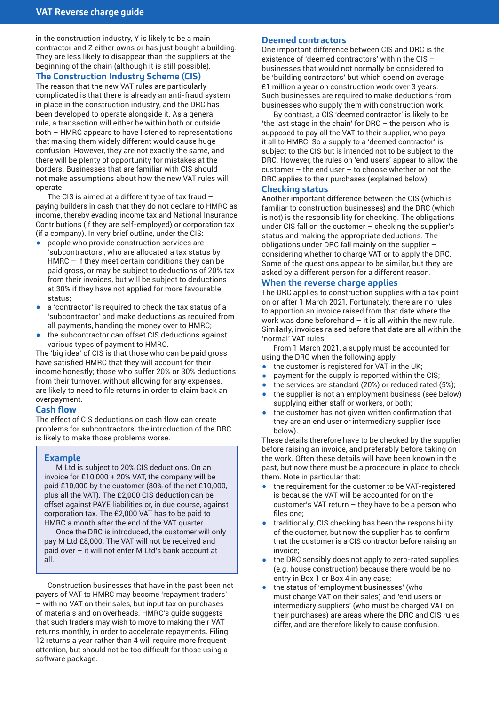in the construction industry, Y is likely to be a main contractor and Z either owns or has just bought a building. They are less likely to disappear than the suppliers at the beginning of the chain (although it is still possible).

# **The Construction Industry Scheme (CIS)**

The reason that the new VAT rules are particularly complicated is that there is already an anti-fraud system in place in the construction industry, and the DRC has been developed to operate alongside it. As a general rule, a transaction will either be within both or outside both – HMRC appears to have listened to representations that making them widely different would cause huge confusion. However, they are not exactly the same, and there will be plenty of opportunity for mistakes at the borders. Businesses that are familiar with CIS should not make assumptions about how the new VAT rules will operate.

The CIS is aimed at a different type of tax fraud – paying builders in cash that they do not declare to HMRC as income, thereby evading income tax and National Insurance Contributions (if they are self-employed) or corporation tax (if a company). In very brief outline, under the CIS:

- people who provide construction services are 'subcontractors', who are allocated a tax status by HMRC – if they meet certain conditions they can be paid gross, or may be subject to deductions of 20% tax from their invoices, but will be subject to deductions at 30% if they have not applied for more favourable status;
- a 'contractor' is required to check the tax status of a 'subcontractor' and make deductions as required from all payments, handing the money over to HMRC;
- the subcontractor can offset CIS deductions against various types of payment to HMRC.

The 'big idea' of CIS is that those who can be paid gross have satisfied HMRC that they will account for their income honestly; those who suffer 20% or 30% deductions from their turnover, without allowing for any expenses, are likely to need to file returns in order to claim back an overpayment.

## **Cash flow**

The effect of CIS deductions on cash flow can create problems for subcontractors; the introduction of the DRC is likely to make those problems worse.

# **Example**

M Ltd is subject to 20% CIS deductions. On an invoice for £10,000 + 20% VAT, the company will be paid £10,000 by the customer (80% of the net £10,000, plus all the VAT). The £2,000 CIS deduction can be offset against PAYE liabilities or, in due course, against corporation tax. The £2,000 VAT has to be paid to HMRC a month after the end of the VAT quarter.

Once the DRC is introduced, the customer will only pay M Ltd £8,000. The VAT will not be received and paid over – it will not enter M Ltd's bank account at all.

Construction businesses that have in the past been net payers of VAT to HMRC may become 'repayment traders' – with no VAT on their sales, but input tax on purchases of materials and on overheads. HMRC's guide suggests that such traders may wish to move to making their VAT returns monthly, in order to accelerate repayments. Filing 12 returns a year rather than 4 will require more frequent attention, but should not be too difficult for those using a software package.

## **Deemed contractors**

One important difference between CIS and DRC is the existence of 'deemed contractors' within the CIS – businesses that would not normally be considered to be 'building contractors' but which spend on average £1 million a year on construction work over 3 years. Such businesses are required to make deductions from businesses who supply them with construction work.

By contrast, a CIS 'deemed contractor' is likely to be 'the last stage in the chain' for DRC – the person who is supposed to pay all the VAT to their supplier, who pays it all to HMRC. So a supply to a 'deemed contractor' is subject to the CIS but is intended not to be subject to the DRC. However, the rules on 'end users' appear to allow the customer – the end user – to choose whether or not the DRC applies to their purchases (explained below).

## **Checking status**

Another important difference between the CIS (which is familiar to construction businesses) and the DRC (which is not) is the responsibility for checking. The obligations under CIS fall on the customer – checking the supplier's status and making the appropriate deductions. The obligations under DRC fall mainly on the supplier – considering whether to charge VAT or to apply the DRC. Some of the questions appear to be similar, but they are asked by a different person for a different reason.

# **When the reverse charge applies**

The DRC applies to construction supplies with a tax point on or after 1 March 2021. Fortunately, there are no rules to apportion an invoice raised from that date where the work was done beforehand – it is all within the new rule. Similarly, invoices raised before that date are all within the 'normal' VAT rules.

From 1 March 2021, a supply must be accounted for using the DRC when the following apply:

- the customer is registered for VAT in the UK;<br>• nayment for the sunnly is reported within the
- payment for the supply is reported within the CIS;
- the services are standard  $(20%)$  or reduced rated  $(5%)$ ;<br>• the supplier is not an employment business (see below
- the supplier is not an employment business (see below) supplying either staff or workers, or both;
- the customer has not given written confirmation that they are an end user or intermediary supplier (see below).

These details therefore have to be checked by the supplier before raising an invoice, and preferably before taking on the work. Often these details will have been known in the past, but now there must be a procedure in place to check them. Note in particular that:

- the requirement for the customer to be VAT-registered is because the VAT will be accounted for on the customer's VAT return  $-$  they have to be a person who files one;
- traditionally, CIS checking has been the responsibility of the customer, but now the supplier has to confirm that the customer is a CIS contractor before raising an invoice;
- the DRC sensibly does not apply to zero-rated supplies (e.g. house construction) because there would be no entry in Box 1 or Box 4 in any case;
- the status of 'employment businesses' (who must charge VAT on their sales) and 'end users or intermediary suppliers' (who must be charged VAT on their purchases) are areas where the DRC and CIS rules differ, and are therefore likely to cause confusion.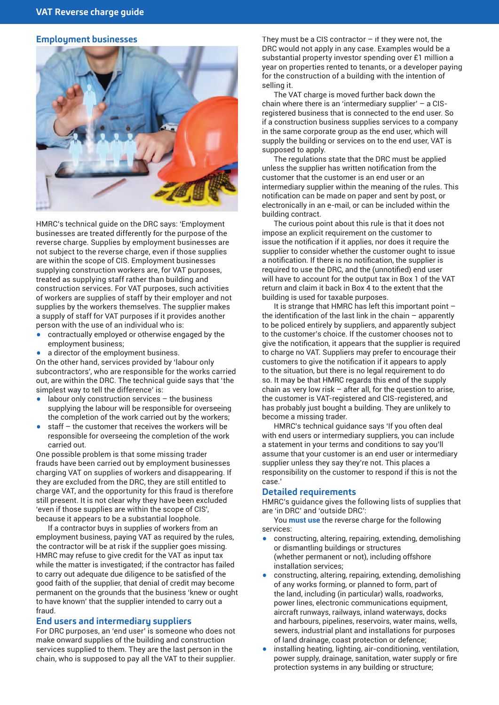#### **Employment businesses**



HMRC's technical guide on the DRC says: 'Employment businesses are treated differently for the purpose of the reverse charge. Supplies by employment businesses are not subject to the reverse charge, even if those supplies are within the scope of CIS. Employment businesses supplying construction workers are, for VAT purposes, treated as supplying staff rather than building and construction services. For VAT purposes, such activities of workers are supplies of staff by their employer and not supplies by the workers themselves. The supplier makes a supply of staff for VAT purposes if it provides another person with the use of an individual who is:

- contractually employed or otherwise engaged by the employment business;
- a director of the employment business.

On the other hand, services provided by 'labour only subcontractors', who are responsible for the works carried out, are within the DRC. The technical guide says that 'the simplest way to tell the difference' is:

- labour only construction services  $-$  the business supplying the labour will be responsible for overseeing the completion of the work carried out by the workers;
- $\bullet$  staff the customer that receives the workers will be responsible for overseeing the completion of the work carried out.

One possible problem is that some missing trader frauds have been carried out by employment businesses charging VAT on supplies of workers and disappearing. If they are excluded from the DRC, they are still entitled to charge VAT, and the opportunity for this fraud is therefore still present. It is not clear why they have been excluded 'even if those supplies are within the scope of CIS', because it appears to be a substantial loophole.

If a contractor buys in supplies of workers from an employment business, paying VAT as required by the rules, the contractor will be at risk if the supplier goes missing. HMRC may refuse to give credit for the VAT as input tax while the matter is investigated; if the contractor has failed to carry out adequate due diligence to be satisfied of the good faith of the supplier, that denial of credit may become permanent on the grounds that the business 'knew or ought to have known' that the supplier intended to carry out a fraud.

## **End users and intermediary suppliers**

For DRC purposes, an 'end user' is someone who does not make onward supplies of the building and construction services supplied to them. They are the last person in the chain, who is supposed to pay all the VAT to their supplier.

They must be a CIS contractor  $-$  if they were not, the DRC would not apply in any case. Examples would be a substantial property investor spending over £1 million a year on properties rented to tenants, or a developer paying for the construction of a building with the intention of selling it.

The VAT charge is moved further back down the chain where there is an 'intermediary supplier' – a CISregistered business that is connected to the end user. So if a construction business supplies services to a company in the same corporate group as the end user, which will supply the building or services on to the end user, VAT is supposed to apply.

The regulations state that the DRC must be applied unless the supplier has written notification from the customer that the customer is an end user or an intermediary supplier within the meaning of the rules. This notification can be made on paper and sent by post, or electronically in an e-mail, or can be included within the building contract.

The curious point about this rule is that it does not impose an explicit requirement on the customer to issue the notification if it applies, nor does it require the supplier to consider whether the customer ought to issue a notification. If there is no notification, the supplier is required to use the DRC, and the (unnotified) end user will have to account for the output tax in Box 1 of the VAT return and claim it back in Box 4 to the extent that the building is used for taxable purposes.

It is strange that HMRC has left this important point – the identification of the last link in the chain – apparently to be policed entirely by suppliers, and apparently subject to the customer's choice. If the customer chooses not to give the notification, it appears that the supplier is required to charge no VAT. Suppliers may prefer to encourage their customers to give the notification if it appears to apply to the situation, but there is no legal requirement to do so. It may be that HMRC regards this end of the supply chain as very low risk  $-$  after all, for the question to arise, the customer is VAT-registered and CIS-registered, and has probably just bought a building. They are unlikely to become a missing trader.

HMRC's technical guidance says 'If you often deal with end users or intermediary suppliers, you can include a statement in your terms and conditions to say you'll assume that your customer is an end user or intermediary supplier unless they say they're not. This places a responsibility on the customer to respond if this is not the case.'

## **Detailed requirements**

HMRC's guidance gives the following lists of supplies that are 'in DRC' and 'outside DRC':

You **must use** the reverse charge for the following services:

- constructing, altering, repairing, extending, demolishing or dismantling buildings or structures (whether permanent or not), including offshore installation services;
- constructing, altering, repairing, extending, demolishing of any works forming, or planned to form, part of the land, including (in particular) walls, roadworks, power lines, electronic communications equipment, aircraft runways, railways, inland waterways, docks and harbours, pipelines, reservoirs, water mains, wells, sewers, industrial plant and installations for purposes of land drainage, coast protection or defence;
- installing heating, lighting, air-conditioning, ventilation, power supply, drainage, sanitation, water supply or fire protection systems in any building or structure;